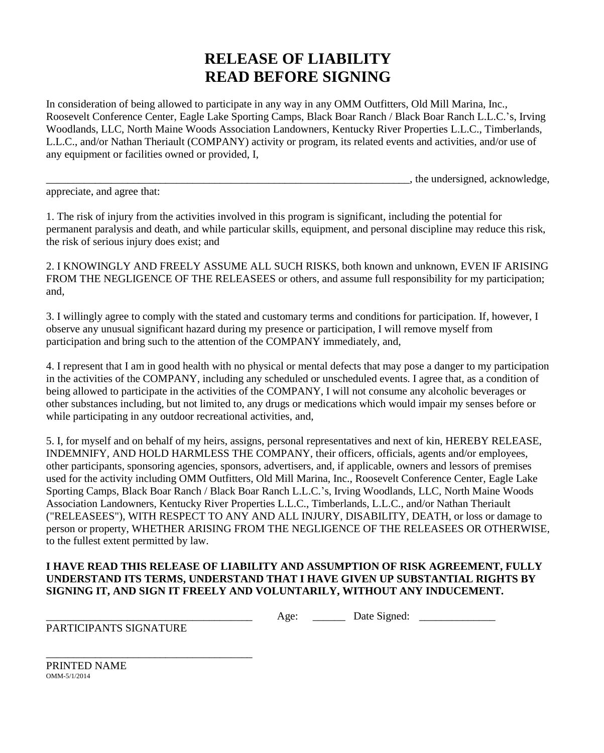## **RELEASE OF LIABILITY READ BEFORE SIGNING**

In consideration of being allowed to participate in any way in any OMM Outfitters, Old Mill Marina, Inc., Roosevelt Conference Center, Eagle Lake Sporting Camps, Black Boar Ranch / Black Boar Ranch L.L.C.'s, Irving Woodlands, LLC, North Maine Woods Association Landowners, Kentucky River Properties L.L.C., Timberlands, L.L.C., and/or Nathan Theriault (COMPANY) activity or program, its related events and activities, and/or use of any equipment or facilities owned or provided, I,

\_\_\_\_\_\_\_\_\_\_\_\_\_\_\_\_\_\_\_\_\_\_\_\_\_\_\_\_\_\_\_\_\_\_\_\_\_\_\_\_\_\_\_\_\_\_\_\_\_\_\_\_\_\_\_\_\_\_\_\_\_\_\_\_\_\_\_, the undersigned, acknowledge,

appreciate, and agree that:

1. The risk of injury from the activities involved in this program is significant, including the potential for permanent paralysis and death, and while particular skills, equipment, and personal discipline may reduce this risk, the risk of serious injury does exist; and

2. I KNOWINGLY AND FREELY ASSUME ALL SUCH RISKS, both known and unknown, EVEN IF ARISING FROM THE NEGLIGENCE OF THE RELEASEES or others, and assume full responsibility for my participation; and,

3. I willingly agree to comply with the stated and customary terms and conditions for participation. If, however, I observe any unusual significant hazard during my presence or participation, I will remove myself from participation and bring such to the attention of the COMPANY immediately, and,

4. I represent that I am in good health with no physical or mental defects that may pose a danger to my participation in the activities of the COMPANY, including any scheduled or unscheduled events. I agree that, as a condition of being allowed to participate in the activities of the COMPANY, I will not consume any alcoholic beverages or other substances including, but not limited to, any drugs or medications which would impair my senses before or while participating in any outdoor recreational activities, and,

5. I, for myself and on behalf of my heirs, assigns, personal representatives and next of kin, HEREBY RELEASE, INDEMNIFY, AND HOLD HARMLESS THE COMPANY, their officers, officials, agents and/or employees, other participants, sponsoring agencies, sponsors, advertisers, and, if applicable, owners and lessors of premises used for the activity including OMM Outfitters, Old Mill Marina, Inc., Roosevelt Conference Center, Eagle Lake Sporting Camps, Black Boar Ranch / Black Boar Ranch L.L.C.'s, Irving Woodlands, LLC, North Maine Woods Association Landowners, Kentucky River Properties L.L.C., Timberlands, L.L.C., and/or Nathan Theriault ("RELEASEES"), WITH RESPECT TO ANY AND ALL INJURY, DISABILITY, DEATH, or loss or damage to person or property, WHETHER ARISING FROM THE NEGLIGENCE OF THE RELEASEES OR OTHERWISE, to the fullest extent permitted by law.

## **I HAVE READ THIS RELEASE OF LIABILITY AND ASSUMPTION OF RISK AGREEMENT, FULLY UNDERSTAND ITS TERMS, UNDERSTAND THAT I HAVE GIVEN UP SUBSTANTIAL RIGHTS BY SIGNING IT, AND SIGN IT FREELY AND VOLUNTARILY, WITHOUT ANY INDUCEMENT.**

\_\_\_\_\_\_\_\_\_\_\_\_\_\_\_\_\_\_\_\_\_\_\_\_\_\_\_\_\_\_\_\_\_\_\_\_\_\_ Age: \_\_\_\_\_\_ Date Signed: \_\_\_\_\_\_\_\_\_\_\_\_\_\_

PARTICIPANTS SIGNATURE

\_\_\_\_\_\_\_\_\_\_\_\_\_\_\_\_\_\_\_\_\_\_\_\_\_\_\_\_\_\_\_\_\_\_\_\_\_\_

PRINTED NAME OMM-5/1/2014